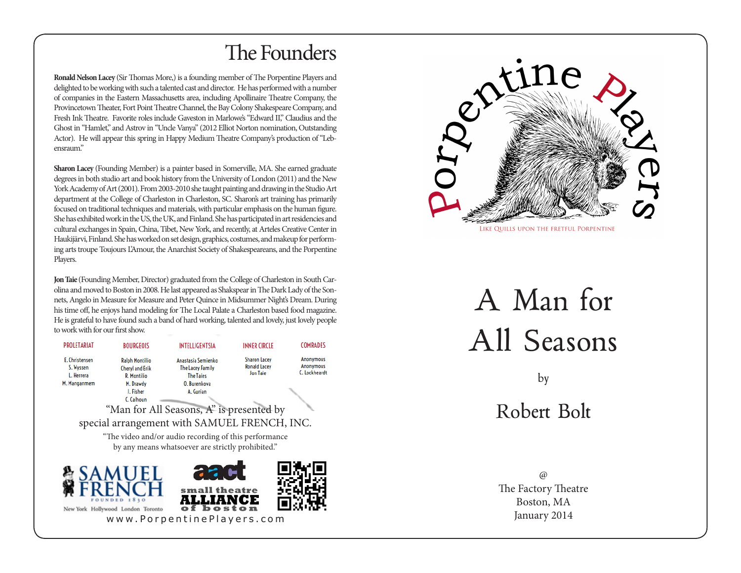## The Founders

I I GANT

**Ronald Nelson Lacey** (Sir Thomas More,) is a founding member of The Porpentine Players and delighted to be working with such a talented cast and director. He has performed with a number of companies in the Eastern Massachusetts area, including Apollinaire Theatre Company, the Provincetown Theater, Fort Point Theatre Channel, the Bay Colony Shakespeare Company, and Fresh Ink Theatre. Favorite roles include Gaveston in Marlowe's "Edward II," Claudius and the Ghost in "Hamlet," and Astrov in "Uncle Vanya" (2012 Elliot Norton nomination, Outstanding Actor). He will appear this spring in Happy Medium Theatre Company's production of "Lebensraum."

**Sharon Lacey** (Founding Member) is a painter based in Somerville, MA. She earned graduate degrees in both studio art and book history from the University of London (2011) and the New York Academy of Art (2001). From 2003-2010 she taught painting and drawing in the Studio Art department at the College of Charleston in Charleston, SC. Sharon's art training has primarily focused on traditional techniques and materials, with particular emphasis on the human figure. She has exhibited work in the US, the UK, and Finland. She has participated in art residencies and cultural exchanges in Spain, China, Tibet, New York, and recently, at Arteles Creative Center in Haukijärvi, Finland. She has worked on set design, graphics, costumes, and makeup for performing arts troupe Toujours L'Amour, the Anarchist Society of Shakespeareans, and the Porpentine Players.

**Jon Taie** (Founding Member, Director) graduated from the College of Charleston in South Carolina and moved to Boston in 2008. He last appeared as Shakspear in The Dark Lady of the Sonnets, Angelo in Measure for Measure and Peter Quince in Midsummer Night's Dream. During his time off, he enjoys hand modeling for The Local Palate a Charleston based food magazine. He is grateful to have found such a band of hard working, talented and lovely, just lovely people to work with for our first show.

| <b><i>PROLETARIAT</i></b> | BOURGEOIS              | INTELLIGENTSIA                                                                                             | <b>INNER CIRCLE</b> | <b>COMRADES</b>  |
|---------------------------|------------------------|------------------------------------------------------------------------------------------------------------|---------------------|------------------|
| E. Christensen            | <b>Ralph Montilio</b>  | Anastasia Semienko                                                                                         | <b>Sharon Lacev</b> | <b>Anonymous</b> |
| S. Wyssen                 | <b>Cheryl and Erik</b> | <b>The Lacey Family</b>                                                                                    | <b>Ronald Lacev</b> | <b>Anonymous</b> |
| L. Herrera                | <b>R. Montilio</b>     | <b>The Taies</b>                                                                                           | <b>Jon Taje</b>     | C. Lockheardt    |
| M. Manganmem              | M. Drawdy              | 0. Burenkova                                                                                               |                     |                  |
|                           | J. Fisher              | A. Gurian                                                                                                  |                     |                  |
|                           | C. Calhoun             |                                                                                                            |                     |                  |
|                           |                        | "Man for All Seasons, A" is presented by                                                                   |                     |                  |
|                           |                        | special arrangement with SAMUEL FRENCH, INC.                                                               |                     |                  |
|                           |                        | "The video and/or audio recording of this performance<br>by any means whatsoever are strictly prohibited." |                     |                  |
| FOUND                     | SAMUEL                 | <b>arak</b><br>small theatre                                                                               |                     |                  |

of boston



A Man for All Seasons

by

Robert Bolt

 $\omega$ The Factory Theatre Boston, MA www.PorpentinePlayers.com January 2014